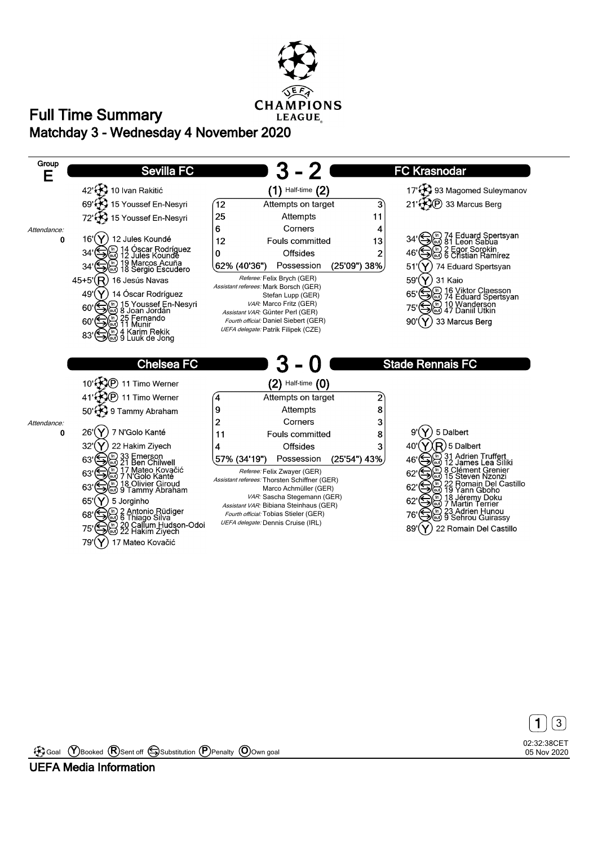

## **Matchday 3 - Wednesday 4 November 2020 Full Time Summary**





Goal **Y** Booked **R** Sent off Substitution **P** Penalty **O** Own goal

**UEFA Media Information**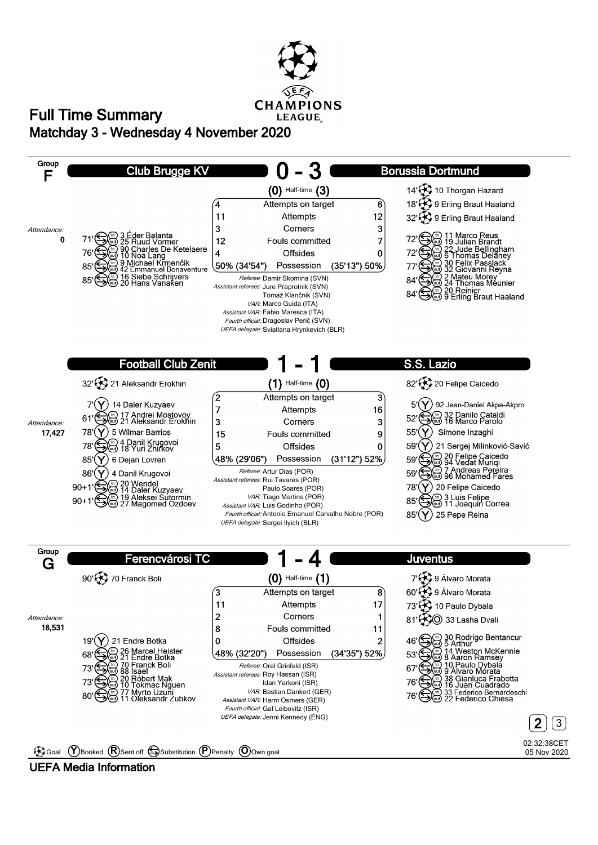

## **Matchday 3 - Wednesday 4 November 2020 Full Time Summary**



## **UEFA Media Information**